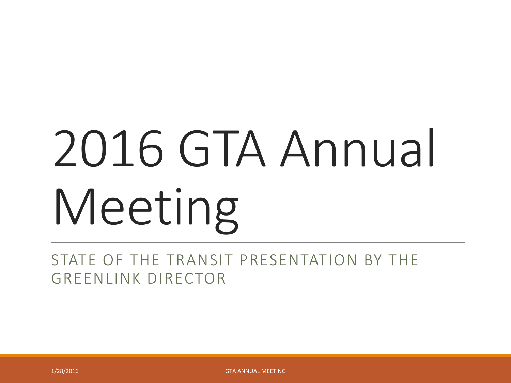# 2016 GTA Annual Meeting

STATE OF THE TRANSIT PRESENTATION BY THE GREENLINK DIRECTOR

1/28/2016 GTA ANNUAL MEETING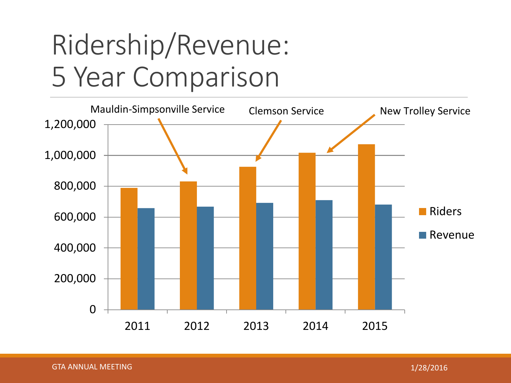#### Ridership/Revenue: 5 Year Comparison

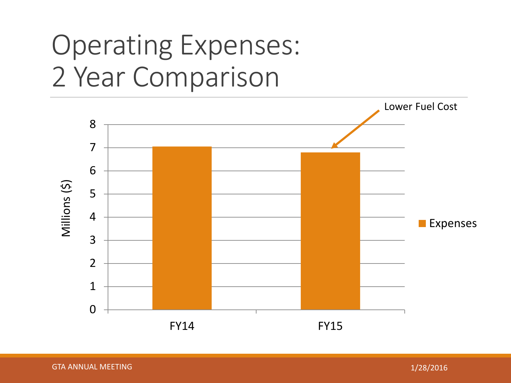#### Operating Expenses: 2 Year Comparison

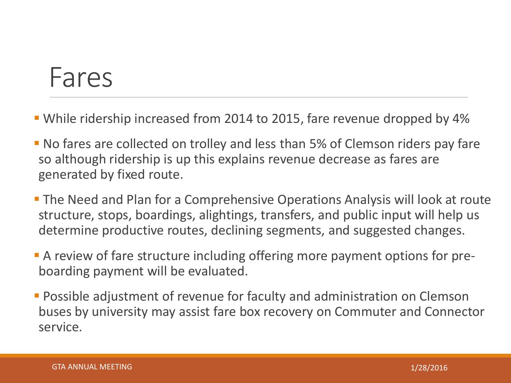#### Fares

- While ridership increased from 2014 to 2015, fare revenue dropped by 4%
- No fares are collected on trolley and less than 5% of Clemson riders pay fare so although ridership is up this explains revenue decrease as fares are generated by fixed route.
- The Need and Plan for a Comprehensive Operations Analysis will look at route structure, stops, boardings, alightings, transfers, and public input will help us determine productive routes, declining segments, and suggested changes.
- A review of fare structure including offering more payment options for preboarding payment will be evaluated.
- **Possible adjustment of revenue for faculty and administration on Clemson** buses by university may assist fare box recovery on Commuter and Connector service.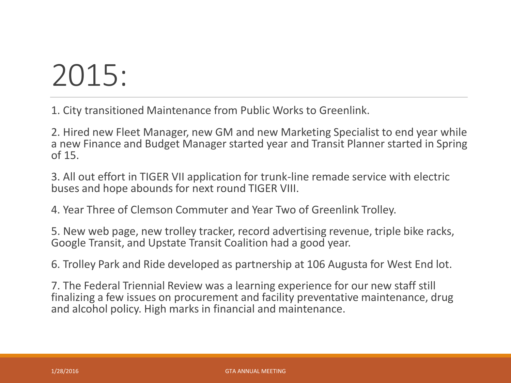## 2015:

1. City transitioned Maintenance from Public Works to Greenlink.

2. Hired new Fleet Manager, new GM and new Marketing Specialist to end year while a new Finance and Budget Manager started year and Transit Planner started in Spring of 15.

3. All out effort in TIGER VII application for trunk-line remade service with electric buses and hope abounds for next round TIGER VIII.

4. Year Three of Clemson Commuter and Year Two of Greenlink Trolley.

5. New web page, new trolley tracker, record advertising revenue, triple bike racks, Google Transit, and Upstate Transit Coalition had a good year.

6. Trolley Park and Ride developed as partnership at 106 Augusta for West End lot.

7. The Federal Triennial Review was a learning experience for our new staff still finalizing a few issues on procurement and facility preventative maintenance, drug and alcohol policy. High marks in financial and maintenance.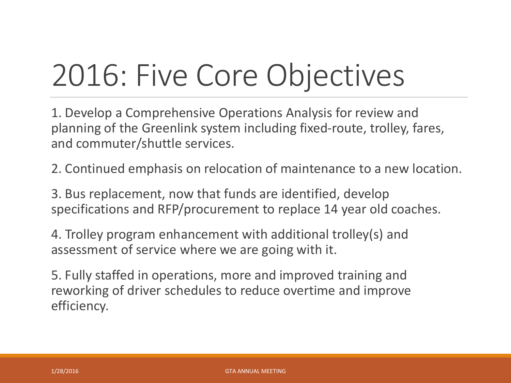# 2016: Five Core Objectives

1. Develop a Comprehensive Operations Analysis for review and planning of the Greenlink system including fixed-route, trolley, fares, and commuter/shuttle services.

2. Continued emphasis on relocation of maintenance to a new location.

3. Bus replacement, now that funds are identified, develop specifications and RFP/procurement to replace 14 year old coaches.

4. Trolley program enhancement with additional trolley(s) and assessment of service where we are going with it.

5. Fully staffed in operations, more and improved training and reworking of driver schedules to reduce overtime and improve efficiency.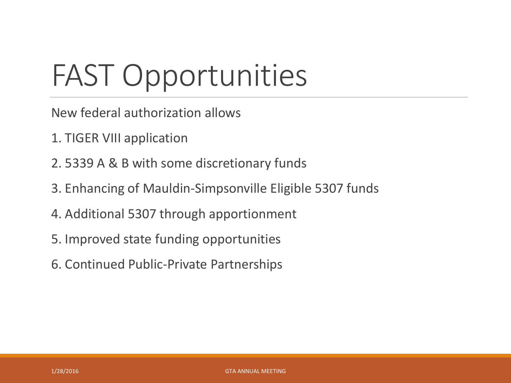# FAST Opportunities

- New federal authorization allows
- 1. TIGER VIII application
- 2. 5339 A & B with some discretionary funds
- 3. Enhancing of Mauldin-Simpsonville Eligible 5307 funds
- 4. Additional 5307 through apportionment
- 5. Improved state funding opportunities
- 6. Continued Public-Private Partnerships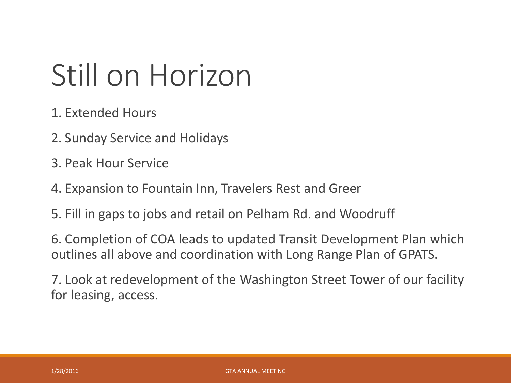## Still on Horizon

- 1. Extended Hours
- 2. Sunday Service and Holidays
- 3. Peak Hour Service
- 4. Expansion to Fountain Inn, Travelers Rest and Greer
- 5. Fill in gaps to jobs and retail on Pelham Rd. and Woodruff

6. Completion of COA leads to updated Transit Development Plan which outlines all above and coordination with Long Range Plan of GPATS.

7. Look at redevelopment of the Washington Street Tower of our facility for leasing, access.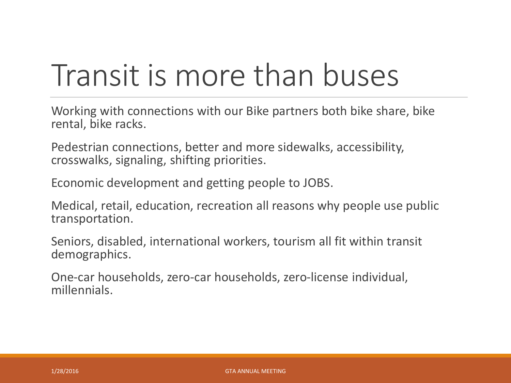## Transit is more than buses

Working with connections with our Bike partners both bike share, bike rental, bike racks.

Pedestrian connections, better and more sidewalks, accessibility, crosswalks, signaling, shifting priorities.

Economic development and getting people to JOBS.

Medical, retail, education, recreation all reasons why people use public transportation.

Seniors, disabled, international workers, tourism all fit within transit demographics.

One-car households, zero-car households, zero-license individual, millennials.